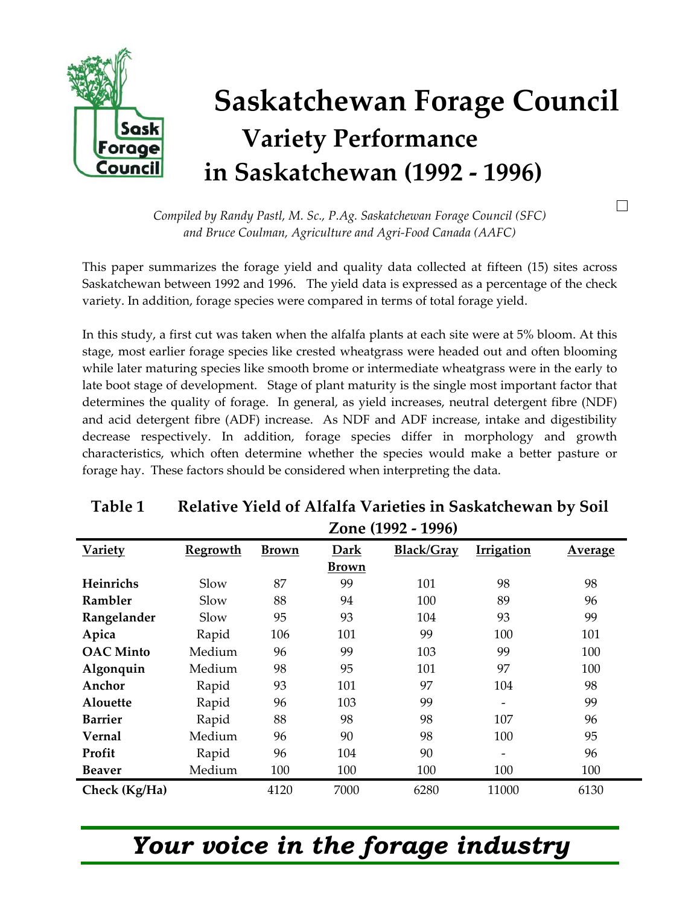

*Compiled by Randy Pastl, M. Sc., P.Ag. Saskatchewan Forage Council (SFC) and Bruce Coulman, Agriculture and Agri-Food Canada (AAFC)* 

 $\Box$ 

This paper summarizes the forage yield and quality data collected at fifteen (15) sites across Saskatchewan between 1992 and 1996. The yield data is expressed as a percentage of the check variety. In addition, forage species were compared in terms of total forage yield.

In this study, a first cut was taken when the alfalfa plants at each site were at 5% bloom. At this stage, most earlier forage species like crested wheatgrass were headed out and often blooming while later maturing species like smooth brome or intermediate wheatgrass were in the early to late boot stage of development. Stage of plant maturity is the single most important factor that determines the quality of forage. In general, as yield increases, neutral detergent fibre (NDF) and acid detergent fibre (ADF) increase. As NDF and ADF increase, intake and digestibility decrease respectively. In addition, forage species differ in morphology and growth characteristics, which often determine whether the species would make a better pasture or forage hay. These factors should be considered when interpreting the data.

#### **Table 1 Relative Yield of Alfalfa Varieties in Saskatchewan by Soil Zone (1992 - 1996)**

| <b>Variety</b>   | <b>Regrowth</b> | <b>Brown</b> | Dark         | Black/Gray | <b>Irrigation</b>        | <b>Average</b> |
|------------------|-----------------|--------------|--------------|------------|--------------------------|----------------|
|                  |                 |              | <b>Brown</b> |            |                          |                |
| Heinrichs        | Slow            | 87           | 99           | 101        | 98                       | 98             |
| Rambler          | Slow            | 88           | 94           | 100        | 89                       | 96             |
| Rangelander      | Slow            | 95           | 93           | 104        | 93                       | 99             |
| Apica            | Rapid           | 106          | 101          | 99         | 100                      | 101            |
| <b>OAC</b> Minto | Medium          | 96           | 99           | 103        | 99                       | 100            |
| Algonquin        | Medium          | 98           | 95           | 101        | 97                       | 100            |
| Anchor           | Rapid           | 93           | 101          | 97         | 104                      | 98             |
| Alouette         | Rapid           | 96           | 103          | 99         |                          | 99             |
| <b>Barrier</b>   | Rapid           | 88           | 98           | 98         | 107                      | 96             |
| Vernal           | Medium          | 96           | 90           | 98         | 100                      | 95             |
| Profit           | Rapid           | 96           | 104          | 90         | $\overline{\phantom{0}}$ | 96             |
| <b>Beaver</b>    | Medium          | 100          | 100          | 100        | 100                      | 100            |
| Check (Kg/Ha)    |                 | 4120         | 7000         | 6280       | 11000                    | 6130           |

## *Your voice in the forage industry*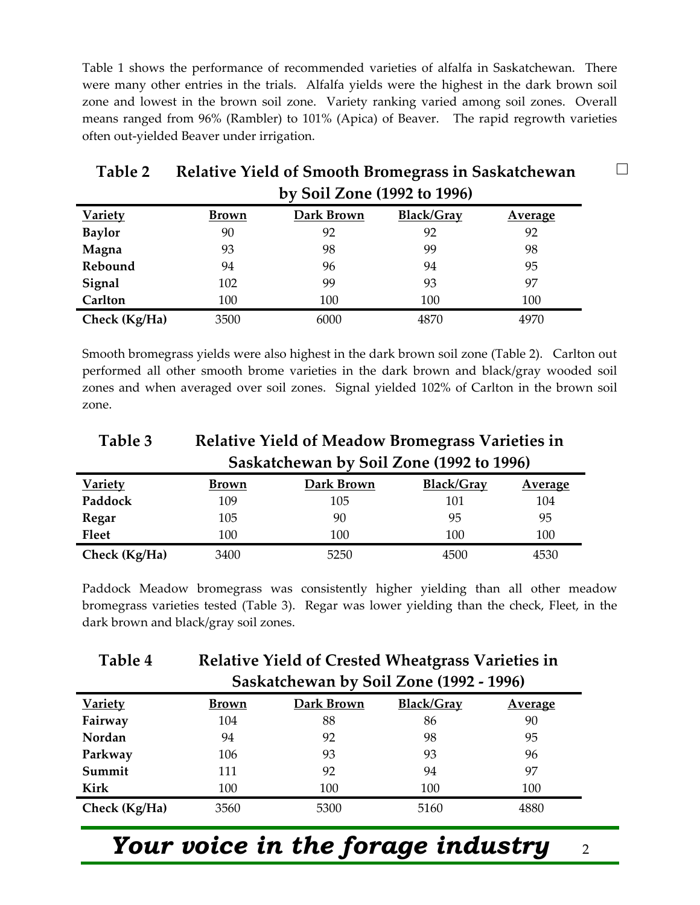Table 1 shows the performance of recommended varieties of alfalfa in Saskatchewan. There were many other entries in the trials. Alfalfa yields were the highest in the dark brown soil zone and lowest in the brown soil zone. Variety ranking varied among soil zones. Overall means ranged from 96% (Rambler) to 101% (Apica) of Beaver. The rapid regrowth varieties often out-yielded Beaver under irrigation.

|                | DV JUII LUIIE (1994 IU 1990) |            |            |                |  |  |
|----------------|------------------------------|------------|------------|----------------|--|--|
| <b>Variety</b> | <b>Brown</b>                 | Dark Brown | Black/Gray | <b>Average</b> |  |  |
| <b>Baylor</b>  | 90                           | 92         | 92         | 92             |  |  |
| Magna          | 93                           | 98         | 99         | 98             |  |  |
| Rebound        | 94                           | 96         | 94         | 95             |  |  |
| Signal         | 102                          | 99         | 93         | 97             |  |  |
| Carlton        | 100                          | 100        | 100        | 100            |  |  |
| Check (Kg/Ha)  | 3500                         | 6000       | 4870       | 4970           |  |  |

#### **Table 2 Relative Yield of Smooth Bromegrass in Saskatchewan by Soil Zone (1992 to 1996)**

Smooth bromegrass yields were also highest in the dark brown soil zone (Table 2). Carlton out performed all other smooth brome varieties in the dark brown and black/gray wooded soil zones and when averaged over soil zones. Signal yielded 102% of Carlton in the brown soil zone.

#### **Table 3 Relative Yield of Meadow Bromegrass Varieties in Saskatchewan by Soil Zone (1992 to 1996)**

|                |              | $\overline{\phantom{0}}$ |                   |                |
|----------------|--------------|--------------------------|-------------------|----------------|
| <b>Variety</b> | <b>Brown</b> | Dark Brown               | <b>Black/Gray</b> | <b>Average</b> |
| Paddock        | 109          | 105                      | 101               | 104            |
| <b>Regar</b>   | 105          | 90                       | 95                | 95             |
| <b>Fleet</b>   | 100          | 100                      | 100               | 100            |
| Check (Kg/Ha)  | 3400         | 5250                     | 4500              | 4530           |

Paddock Meadow bromegrass was consistently higher yielding than all other meadow bromegrass varieties tested (Table 3). Regar was lower yielding than the check, Fleet, in the dark brown and black/gray soil zones.

| Table 4        | <b>Relative Yield of Crested Wheatgrass Varieties in</b> |            |            |                |  |  |  |
|----------------|----------------------------------------------------------|------------|------------|----------------|--|--|--|
|                | Saskatchewan by Soil Zone (1992 - 1996)                  |            |            |                |  |  |  |
| <b>Variety</b> | <b>Brown</b>                                             | Dark Brown | Black/Gray | <b>Average</b> |  |  |  |
| Fairway        | 104                                                      | 88         | 86         | 90             |  |  |  |
| Nordan         | 94                                                       | 92         | 98         | 95             |  |  |  |
| Parkway        | 106                                                      | 93         | 93         | 96             |  |  |  |
| Summit         | 111                                                      | 92         | 94         | 97             |  |  |  |
| Kirk           | 100                                                      | 100        | 100        | 100            |  |  |  |
| Check (Kg/Ha)  | 3560                                                     | 5300       | 5160       | 4880           |  |  |  |

# *Your voice in the forage industry* <sup>2</sup>

 $\Box$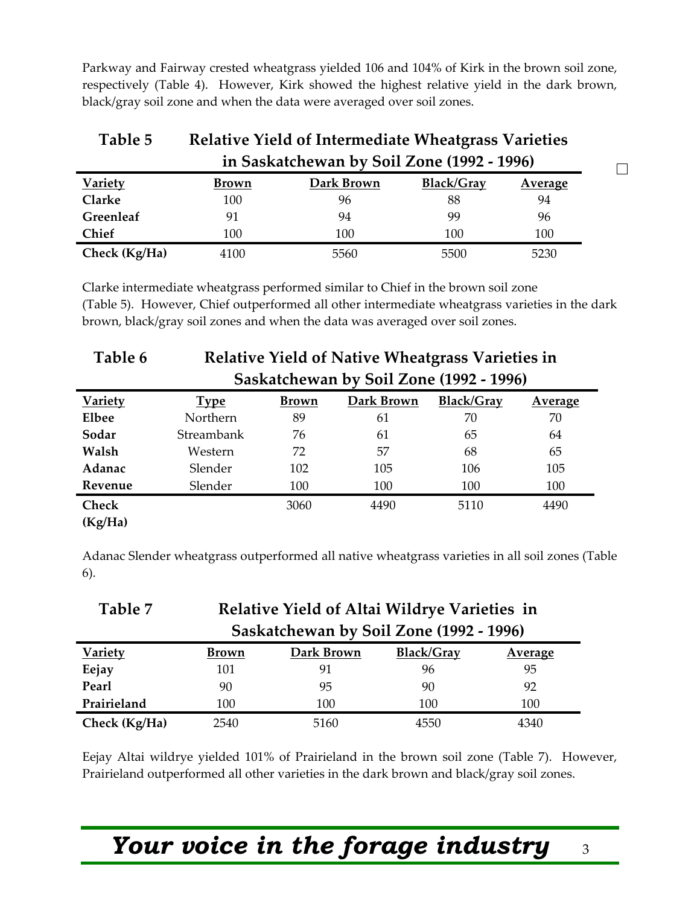Parkway and Fairway crested wheatgrass yielded 106 and 104% of Kirk in the brown soil zone, respectively (Table 4). However, Kirk showed the highest relative yield in the dark brown, black/gray soil zone and when the data were averaged over soil zones.

| Table 5                                    | <b>Relative Yield of Intermediate Wheatgrass Varieties</b> |            |            |                |  |  |
|--------------------------------------------|------------------------------------------------------------|------------|------------|----------------|--|--|
| in Saskatchewan by Soil Zone (1992 - 1996) |                                                            |            |            |                |  |  |
| <b>Variety</b>                             | <u>Brown</u>                                               | Dark Brown | Black/Gray | <u>Average</u> |  |  |
| <b>Clarke</b>                              | 100                                                        | 96         | 88         | 94             |  |  |
| Greenleaf                                  | 91                                                         | 94         | 99         | 96             |  |  |
| Chief                                      | 100                                                        | 100        | 100        | 100            |  |  |
| Check (Kg/Ha)                              | 4100                                                       | 5560       | 5500       | 5230           |  |  |

Clarke intermediate wheatgrass performed similar to Chief in the brown soil zone (Table 5). However, Chief outperformed all other intermediate wheatgrass varieties in the dark brown, black/gray soil zones and when the data was averaged over soil zones.

| Table 6        | <b>Relative Yield of Native Wheatgrass Varieties in</b> |              |            |            |                |  |
|----------------|---------------------------------------------------------|--------------|------------|------------|----------------|--|
|                | Saskatchewan by Soil Zone (1992 - 1996)                 |              |            |            |                |  |
| <b>Variety</b> | <b>Type</b>                                             | <b>Brown</b> | Dark Brown | Black/Gray | <b>Average</b> |  |
| Elbee          | Northern                                                | 89           | 61         | 70         | 70             |  |
| Sodar          | Streambank                                              | 76           | 61         | 65         | 64             |  |
| Walsh          | Western                                                 | 72           | 57         | 68         | 65             |  |
| Adanac         | Slender                                                 | 102          | 105        | 106        | 105            |  |
| Revenue        | Slender                                                 | 100          | 100        | 100        | 100            |  |
| <b>Check</b>   |                                                         | 3060         | 4490       | 5110       | 4490           |  |
| (Kg/Ha)        |                                                         |              |            |            |                |  |

Adanac Slender wheatgrass outperformed all native wheatgrass varieties in all soil zones (Table 6).

| Table 7        | Relative Yield of Altai Wildrye Varieties in |            |            |                |  |  |  |
|----------------|----------------------------------------------|------------|------------|----------------|--|--|--|
|                | Saskatchewan by Soil Zone (1992 - 1996)      |            |            |                |  |  |  |
| <b>Variety</b> | Brown                                        | Dark Brown | Black/Gray | <b>Average</b> |  |  |  |
| Eejay          | 101                                          | 91         | 96         | 95             |  |  |  |
| Pearl          | 90                                           | 95         | 90         | 92             |  |  |  |
| Prairieland    | 100                                          | 100        | 100        | 100            |  |  |  |
| Check (Kg/Ha)  | 2540                                         | 5160       | 4550       | 4340           |  |  |  |

Eejay Altai wildrye yielded 101% of Prairieland in the brown soil zone (Table 7). However, Prairieland outperformed all other varieties in the dark brown and black/gray soil zones.

### *Your voice in the forage industry* <sup>3</sup>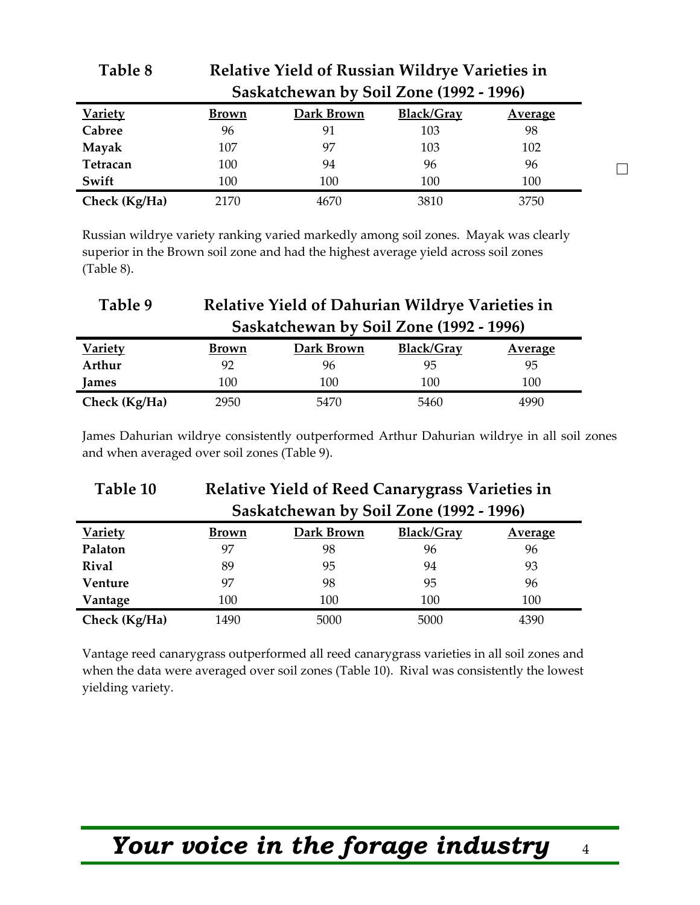|                |              | Saskatchewan by Soil Zone (1992 - 1996) |            |                |                          |
|----------------|--------------|-----------------------------------------|------------|----------------|--------------------------|
| <b>Variety</b> | <b>Brown</b> | Dark Brown                              | Black/Gray | <b>Average</b> |                          |
| Cabree         | 96           | 91                                      | 103        | 98             |                          |
| Mayak          | 107          | 97                                      | 103        | 102            |                          |
| Tetracan       | 100          | 94                                      | 96         | 96             | $\overline{\phantom{0}}$ |
| Swift          | 100          | 100                                     | 100        | 100            |                          |
| Check (Kg/Ha)  | 2170         | 4670                                    | 3810       | 3750           |                          |

Russian wildrye variety ranking varied markedly among soil zones. Mayak was clearly superior in the Brown soil zone and had the highest average yield across soil zones (Table 8).

**Table 8 Relative Yield of Russian Wildrye Varieties in** 

| Table 9        | Relative Yield of Dahurian Wildrye Varieties in |            |                   |                |  |  |  |
|----------------|-------------------------------------------------|------------|-------------------|----------------|--|--|--|
|                | Saskatchewan by Soil Zone (1992 - 1996)         |            |                   |                |  |  |  |
| <b>Variety</b> | <b>Brown</b>                                    | Dark Brown | <b>Black/Gray</b> | <b>Average</b> |  |  |  |
| Arthur         | 92                                              | 96         | 95                | 95             |  |  |  |
| James          | 100                                             | 100        | 100               | 100            |  |  |  |
| Check (Kg/Ha)  | 2950                                            | 5470       | 5460              | 4990           |  |  |  |

James Dahurian wildrye consistently outperformed Arthur Dahurian wildrye in all soil zones and when averaged over soil zones (Table 9).

| Table 10       | <b>Relative Yield of Reed Canarygrass Varieties in</b> |            |                   |                |  |  |
|----------------|--------------------------------------------------------|------------|-------------------|----------------|--|--|
|                | Saskatchewan by Soil Zone (1992 - 1996)                |            |                   |                |  |  |
| <b>Variety</b> | Brown                                                  | Dark Brown | <b>Black/Gray</b> | <b>Average</b> |  |  |
| Palaton        | 97                                                     | 98         | 96                | 96             |  |  |
| <b>Rival</b>   | 89                                                     | 95         | 94                | 93             |  |  |
| Venture        | 97                                                     | 98         | 95                | 96             |  |  |
| Vantage        | 100                                                    | 100        | 100               | 100            |  |  |
| Check (Kg/Ha)  | 1490                                                   | 5000       | 5000              | 4390           |  |  |

Vantage reed canarygrass outperformed all reed canarygrass varieties in all soil zones and when the data were averaged over soil zones (Table 10). Rival was consistently the lowest yielding variety.

## *Your voice in the forage industry* <sup>4</sup>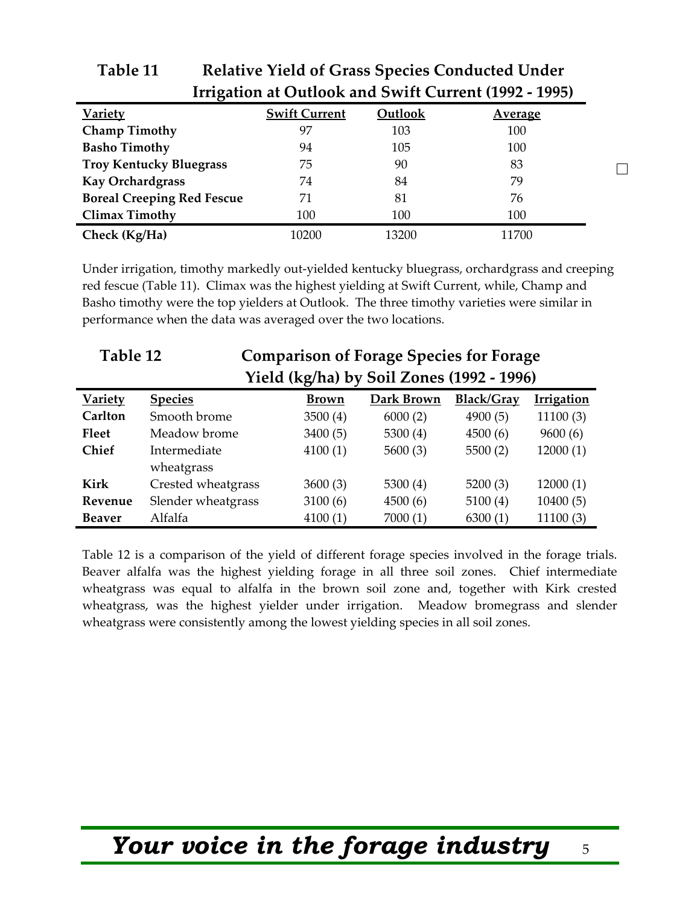| Irrigation at Outlook and Swift Current (1992 - 1995) |                      |         |                |  |  |  |
|-------------------------------------------------------|----------------------|---------|----------------|--|--|--|
| <b>Variety</b>                                        | <b>Swift Current</b> | Outlook | <b>Average</b> |  |  |  |
| Champ Timothy                                         | 97                   | 103     | 100            |  |  |  |
| <b>Basho Timothy</b>                                  | 94                   | 105     | 100            |  |  |  |
| <b>Troy Kentucky Bluegrass</b>                        | 75                   | 90      | 83             |  |  |  |
| Kay Orchardgrass                                      | 74                   | 84      | 79             |  |  |  |
| <b>Boreal Creeping Red Fescue</b>                     | 71                   | 81      | 76             |  |  |  |
| <b>Climax Timothy</b>                                 | 100                  | 100     | 100            |  |  |  |
| Check (Kg/Ha)                                         | 10200                | 13200   | 11700          |  |  |  |

#### **Table 11 Relative Yield of Grass Species Conducted Under**   $I = Q_{11} I = 1.5$  and  $I = 10^{9}$  Current (1992  $\sigma$ )

Under irrigation, timothy markedly out-yielded kentucky bluegrass, orchardgrass and creeping red fescue (Table 11). Climax was the highest yielding at Swift Current, while, Champ and Basho timothy were the top yielders at Outlook. The three timothy varieties were similar in performance when the data was averaged over the two locations.

| Table 12       |                    | <b>Comparison of Forage Species for Forage</b> |            |            |                   |  |
|----------------|--------------------|------------------------------------------------|------------|------------|-------------------|--|
|                |                    | Yield (kg/ha) by Soil Zones (1992 - 1996)      |            |            |                   |  |
| <b>Variety</b> | <b>Species</b>     | <b>Brown</b>                                   | Dark Brown | Black/Gray | <b>Irrigation</b> |  |
| Carlton        | Smooth brome       | 3500(4)                                        | 6000(2)    | 4900(5)    | 11100(3)          |  |
| <b>Fleet</b>   | Meadow brome       | 3400(5)                                        | 5300 $(4)$ | 4500(6)    | 9600(6)           |  |
| <b>Chief</b>   | Intermediate       | 4100(1)                                        | 5600(3)    | 5500(2)    | 12000(1)          |  |
|                | wheatgrass         |                                                |            |            |                   |  |
| <b>Kirk</b>    | Crested wheatgrass | 3600(3)                                        | 5300 $(4)$ | 5200(3)    | 12000(1)          |  |
| Revenue        | Slender wheatgrass | 3100(6)                                        | 4500(6)    | 5100(4)    | 10400(5)          |  |
| <b>Beaver</b>  | Alfalfa            | 4100(1)                                        | 7000(1)    | 6300(1)    | 11100(3)          |  |

Table 12 is a comparison of the yield of different forage species involved in the forage trials. Beaver alfalfa was the highest yielding forage in all three soil zones. Chief intermediate wheatgrass was equal to alfalfa in the brown soil zone and, together with Kirk crested wheatgrass, was the highest yielder under irrigation. Meadow bromegrass and slender wheatgrass were consistently among the lowest yielding species in all soil zones.